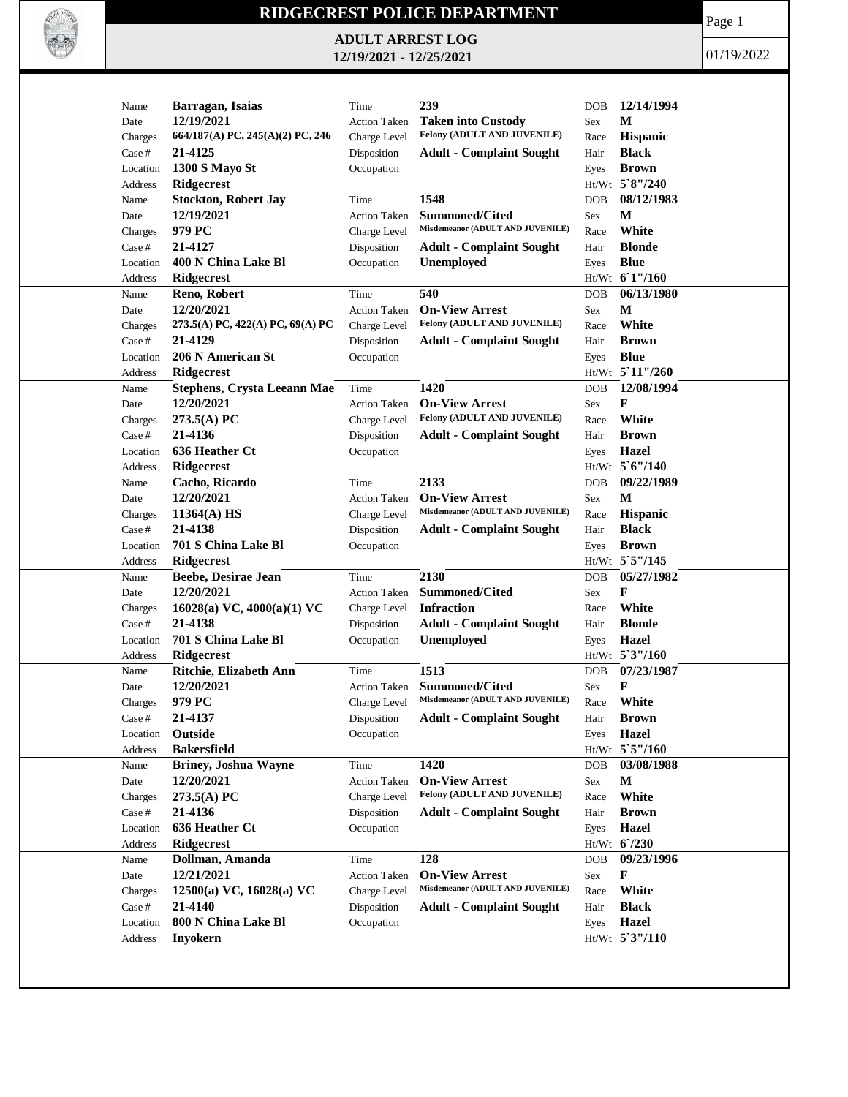

## **RIDGECREST POLICE DEPARTMENT**

**ADULT ARREST LOG 12/19/2021 - 12/25/2021**

Page 1

01/19/2022

| Name           | Barragan, Isaias                   | Time                | 239                              | <b>DOB</b>           | 12/14/1994      |
|----------------|------------------------------------|---------------------|----------------------------------|----------------------|-----------------|
| Date           | 12/19/2021                         | <b>Action Taken</b> | <b>Taken into Custody</b>        | Sex                  | M               |
| Charges        | 664/187(A) PC, 245(A)(2) PC, 246   | Charge Level        | Felony (ADULT AND JUVENILE)      | Race                 | Hispanic        |
| Case #         | 21-4125                            | Disposition         | <b>Adult - Complaint Sought</b>  | Hair                 | <b>Black</b>    |
| Location       | <b>1300 S Mayo St</b>              | Occupation          |                                  | Eyes                 | <b>Brown</b>    |
| Address        | <b>Ridgecrest</b>                  |                     |                                  |                      | Ht/Wt 5`8"/240  |
| Name           | <b>Stockton, Robert Jay</b>        | Time                | 1548                             | <b>DOB</b>           | 08/12/1983      |
| Date           | 12/19/2021                         | <b>Action Taken</b> | <b>Summoned/Cited</b>            | Sex                  | $\mathbf M$     |
| Charges        | 979 PC                             | Charge Level        | Misdemeanor (ADULT AND JUVENILE) | Race                 | White           |
| Case #         | 21-4127                            | Disposition         | <b>Adult - Complaint Sought</b>  | Hair                 | <b>Blonde</b>   |
| Location       | 400 N China Lake Bl                | Occupation          | <b>Unemployed</b>                | Eyes                 | <b>Blue</b>     |
| <b>Address</b> | Ridgecrest                         |                     |                                  |                      | Ht/Wt 61"/160   |
| Name           | Reno, Robert                       | Time                | 540                              | <b>DOB</b>           | 06/13/1980      |
| Date           | 12/20/2021                         | <b>Action Taken</b> | <b>On-View Arrest</b>            | $\operatorname{Sex}$ | М               |
| Charges        | 273.5(A) PC, 422(A) PC, 69(A) PC   | Charge Level        | Felony (ADULT AND JUVENILE)      | Race                 | White           |
| Case #         | 21-4129                            | Disposition         | <b>Adult - Complaint Sought</b>  | Hair                 | <b>Brown</b>    |
| Location       | 206 N American St                  | Occupation          |                                  | Eyes                 | <b>Blue</b>     |
| Address        | Ridgecrest                         |                     |                                  |                      | Ht/Wt 5'11"/260 |
| Name           | <b>Stephens, Crysta Leeann Mae</b> | Time                | 1420                             | DOB                  | 12/08/1994      |
| Date           | 12/20/2021                         | <b>Action Taken</b> | <b>On-View Arrest</b>            | Sex                  | F               |
| Charges        | 273.5(A) PC                        | Charge Level        | Felony (ADULT AND JUVENILE)      | Race                 | White           |
| Case #         | 21-4136                            | Disposition         | <b>Adult - Complaint Sought</b>  | Hair                 | <b>Brown</b>    |
| Location       | 636 Heather Ct                     | Occupation          |                                  | Eyes                 | <b>Hazel</b>    |
| Address        | Ridgecrest                         |                     |                                  |                      | Ht/Wt 5'6"/140  |
| Name           | Cacho, Ricardo                     | Time                | 2133                             | DOB                  | 09/22/1989      |
| Date           | 12/20/2021                         | <b>Action Taken</b> | <b>On-View Arrest</b>            | Sex                  | M               |
| Charges        | $11364(A)$ HS                      | Charge Level        | Misdemeanor (ADULT AND JUVENILE) | Race                 | <b>Hispanic</b> |
| Case #         | 21-4138                            | Disposition         | <b>Adult - Complaint Sought</b>  | Hair                 | <b>Black</b>    |
| Location       | 701 S China Lake Bl                | Occupation          |                                  | Eyes                 | <b>Brown</b>    |
| Address        | <b>Ridgecrest</b>                  |                     |                                  |                      | Ht/Wt 5`5"/145  |
| Name           | Beebe, Desirae Jean                | Time                | 2130                             | <b>DOB</b>           | 05/27/1982      |
| Date           | 12/20/2021                         | Action Taken        | <b>Summoned/Cited</b>            | Sex                  | F               |
| Charges        | 16028(a) VC, $4000(a)(1)$ VC       | Charge Level        | <b>Infraction</b>                | Race                 | White           |
| Case #         | 21-4138                            | Disposition         | <b>Adult - Complaint Sought</b>  | Hair                 | <b>Blonde</b>   |
| Location       | 701 S China Lake Bl                | Occupation          | <b>Unemployed</b>                | Eyes                 | <b>Hazel</b>    |
| Address        | <b>Ridgecrest</b>                  |                     |                                  |                      | Ht/Wt 5'3"/160  |
| Name           | Ritchie, Elizabeth Ann             | Time                | 1513                             | <b>DOB</b>           | 07/23/1987      |
| Date           | 12/20/2021                         | Action Taken        | Summoned/Cited                   | Sex                  | F               |
| Charges        | 979 PC                             | Charge Level        | Misdemeanor (ADULT AND JUVENILE) | Race                 | White           |
| Case #         | 21-4137                            | Disposition         | <b>Adult - Complaint Sought</b>  | Hair                 | <b>Brown</b>    |
| Location       | Outside                            | Occupation          |                                  | Eyes                 | <b>Hazel</b>    |
| Address        | <b>Bakersfield</b>                 |                     |                                  |                      | Ht/Wt 5'5"/160  |
| Name           | <b>Briney, Joshua Wayne</b>        | Time                | 1420                             | <b>DOB</b>           | 03/08/1988      |
| Date           | 12/20/2021                         | <b>Action Taken</b> | <b>On-View Arrest</b>            | Sex                  | M               |
| Charges        | $273.5(A)$ PC                      | Charge Level        | Felony (ADULT AND JUVENILE)      | Race                 | White           |
| Case #         | 21-4136                            | Disposition         | <b>Adult - Complaint Sought</b>  | Hair                 | <b>Brown</b>    |
| Location       | 636 Heather Ct                     | Occupation          |                                  | Eyes                 | Hazel           |
| Address        | <b>Ridgecrest</b>                  |                     |                                  |                      | Ht/Wt 6/230     |
| Name           | Dollman, Amanda                    | Time                | 128                              | <b>DOB</b>           | 09/23/1996      |
| Date           | 12/21/2021                         | <b>Action Taken</b> | <b>On-View Arrest</b>            | Sex                  | F               |
| Charges        | $12500(a)$ VC, $16028(a)$ VC       | Charge Level        | Misdemeanor (ADULT AND JUVENILE) | Race                 | White           |
| Case #         | 21-4140                            | Disposition         | <b>Adult - Complaint Sought</b>  | Hair                 | <b>Black</b>    |
| Location       | 800 N China Lake Bl                | Occupation          |                                  | Eyes                 | <b>Hazel</b>    |
| Address        | <b>Inyokern</b>                    |                     |                                  |                      | Ht/Wt 5'3"/110  |
|                |                                    |                     |                                  |                      |                 |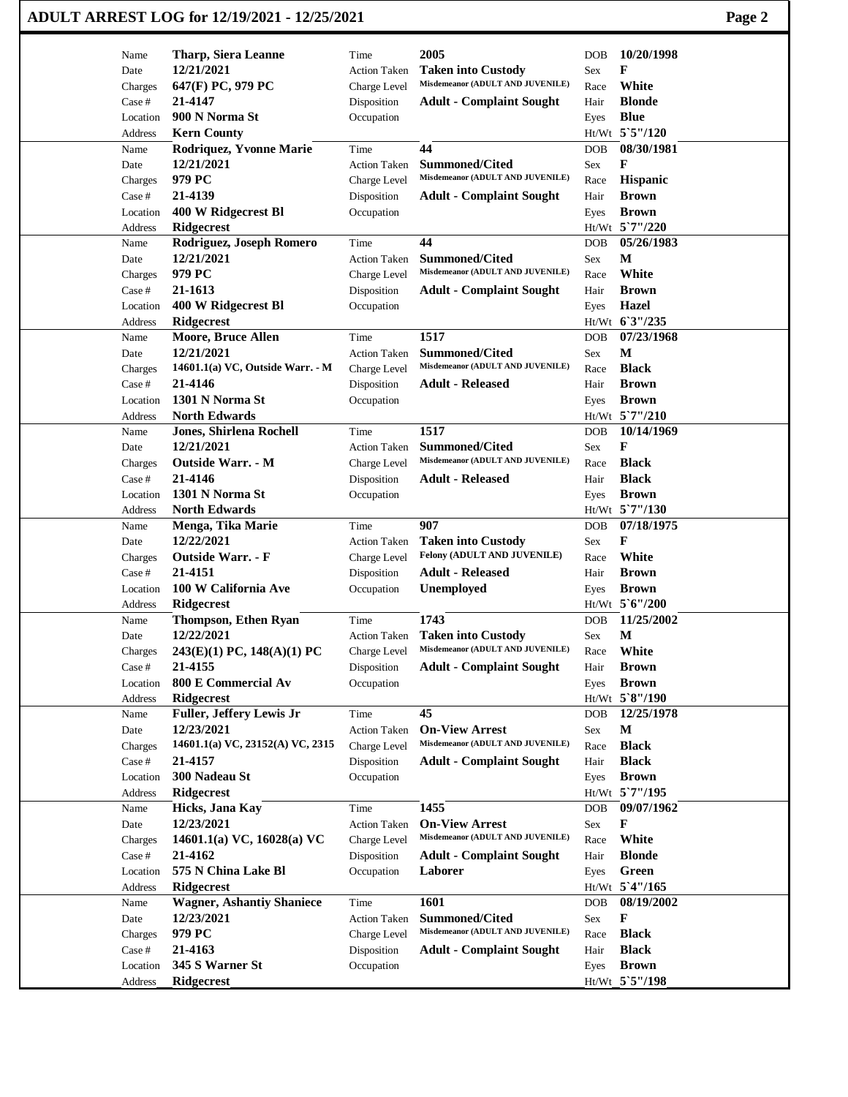| ADULT ARREST LOG for 12/19/2021 - 12/25/2021 | Page 2 |
|----------------------------------------------|--------|
|----------------------------------------------|--------|

| Name              | <b>Tharp, Siera Leanne</b>                     | Time                      | 2005                                                      | DOB          | 10/20/1998                   |
|-------------------|------------------------------------------------|---------------------------|-----------------------------------------------------------|--------------|------------------------------|
| Date              | 12/21/2021                                     | <b>Action Taken</b>       | <b>Taken into Custody</b>                                 | Sex          | F                            |
| Charges           | 647(F) PC, 979 PC                              | Charge Level              | Misdemeanor (ADULT AND JUVENILE)                          | Race         | White                        |
| Case #            | 21-4147                                        | Disposition               | <b>Adult - Complaint Sought</b>                           | Hair         | <b>Blonde</b>                |
| Location          | 900 N Norma St                                 | Occupation                |                                                           | Eyes         | <b>Blue</b>                  |
| Address           | <b>Kern County</b>                             |                           |                                                           |              | Ht/Wt 5`5"/120               |
| Name              | Rodriquez, Yvonne Marie                        | Time                      | 44                                                        | DOB          | 08/30/1981                   |
| Date              | 12/21/2021                                     | <b>Action Taken</b>       | <b>Summoned/Cited</b><br>Misdemeanor (ADULT AND JUVENILE) | Sex          | F                            |
| Charges           | 979 PC                                         | Charge Level              |                                                           | Race         | Hispanic                     |
| Case #            | 21-4139                                        | Disposition               | <b>Adult - Complaint Sought</b>                           | Hair         | <b>Brown</b>                 |
| Location          | 400 W Ridgecrest Bl                            | Occupation                |                                                           | Eyes         | <b>Brown</b>                 |
| Address           | Ridgecrest                                     |                           | 44                                                        |              | Ht/Wt 5'7"/220               |
| Name              | Rodriguez, Joseph Romero<br>12/21/2021         | Time                      | Summoned/Cited                                            | DOB          | 05/26/1983<br>M              |
| Date              | 979 PC                                         | <b>Action Taken</b>       | Misdemeanor (ADULT AND JUVENILE)                          | Sex          | White                        |
| Charges<br>Case # | 21-1613                                        | Charge Level              |                                                           | Race<br>Hair | <b>Brown</b>                 |
| Location          | 400 W Ridgecrest Bl                            | Disposition<br>Occupation | <b>Adult - Complaint Sought</b>                           |              | Hazel                        |
| Address           | Ridgecrest                                     |                           |                                                           | Eyes         | Ht/Wt 63"/235                |
| Name              | <b>Moore, Bruce Allen</b>                      | Time                      | 1517                                                      | DOB          | 07/23/1968                   |
| Date              | 12/21/2021                                     | <b>Action Taken</b>       | <b>Summoned/Cited</b>                                     | Sex          | $\mathbf M$                  |
| Charges           | 14601.1(a) VC, Outside Warr. - M               | Charge Level              | Misdemeanor (ADULT AND JUVENILE)                          | Race         | <b>Black</b>                 |
| Case #            | 21-4146                                        | Disposition               | <b>Adult - Released</b>                                   | Hair         | <b>Brown</b>                 |
| Location          | 1301 N Norma St                                | Occupation                |                                                           | Eyes         | <b>Brown</b>                 |
| Address           | <b>North Edwards</b>                           |                           |                                                           |              | Ht/Wt 5`7"/210               |
| Name              | <b>Jones, Shirlena Rochell</b>                 | Time                      | 1517                                                      | DOB          | 10/14/1969                   |
| Date              | 12/21/2021                                     | <b>Action Taken</b>       | <b>Summoned/Cited</b>                                     | Sex          | F                            |
| Charges           | <b>Outside Warr. - M</b>                       | Charge Level              | Misdemeanor (ADULT AND JUVENILE)                          | Race         | <b>Black</b>                 |
| Case #            | 21-4146                                        | Disposition               | <b>Adult - Released</b>                                   | Hair         | <b>Black</b>                 |
| Location          | 1301 N Norma St                                | Occupation                |                                                           | Eyes         | <b>Brown</b>                 |
| Address           | <b>North Edwards</b>                           |                           |                                                           |              | Ht/Wt 5`7"/130               |
| Name              | Menga, Tika Marie                              | Time                      | 907                                                       | <b>DOB</b>   | 07/18/1975                   |
| Date              | 12/22/2021                                     | <b>Action Taken</b>       | <b>Taken into Custody</b>                                 | Sex          | F                            |
| Charges           | <b>Outside Warr. - F</b>                       | Charge Level              | Felony (ADULT AND JUVENILE)                               | Race         | White                        |
| Case #            | 21-4151                                        | Disposition               | <b>Adult - Released</b>                                   | Hair         | <b>Brown</b>                 |
| Location          | 100 W California Ave                           | Occupation                | <b>Unemployed</b>                                         | Eyes         | <b>Brown</b>                 |
| Address           | Ridgecrest                                     |                           |                                                           |              | Ht/Wt 5'6"/200               |
| Name              | <b>Thompson, Ethen Ryan</b>                    | Time                      | 1743                                                      | DOB          | 11/25/2002                   |
| Date              | 12/22/2021                                     | <b>Action Taken</b>       | <b>Taken into Custody</b>                                 | Sex          | $\mathbf M$                  |
| Charges           | 243(E)(1) PC, 148(A)(1) PC                     | Charge Level              | Misdemeanor (ADULT AND JUVENILE)                          | Race         | White                        |
| Case #            | 21-4155                                        | Disposition               | <b>Adult - Complaint Sought</b>                           | Hair         | <b>Brown</b>                 |
| Location          | 800 E Commercial Av                            | Occupation                |                                                           | Eyes         | <b>Brown</b>                 |
| Address           | <b>Ridgecrest</b>                              |                           |                                                           |              | Ht/Wt 5`8"/190               |
| Name              | <b>Fuller, Jeffery Lewis Jr</b>                | Time                      | 45                                                        | DOB          | 12/25/1978                   |
| Date              | 12/23/2021                                     | <b>Action Taken</b>       | <b>On-View Arrest</b>                                     | Sex          | $\mathbf M$                  |
| Charges           | 14601.1(a) VC, 23152(A) VC, 2315               | Charge Level              | Misdemeanor (ADULT AND JUVENILE)                          | Race         | <b>Black</b>                 |
| Case #            | 21-4157                                        | Disposition               | <b>Adult - Complaint Sought</b>                           | Hair         | <b>Black</b>                 |
| Location          | 300 Nadeau St                                  | Occupation                |                                                           | Eyes         | <b>Brown</b>                 |
| Address           | Ridgecrest                                     |                           |                                                           |              | Ht/Wt 5`7"/195               |
| Name              | Hicks, Jana Kay                                | Time                      | 1455                                                      | DOB          | 09/07/1962                   |
| Date              | 12/23/2021                                     | <b>Action Taken</b>       | <b>On-View Arrest</b>                                     | Sex          | F                            |
| Charges           | 14601.1(a) VC, 16028(a) VC                     | Charge Level              | Misdemeanor (ADULT AND JUVENILE)                          | Race         | White                        |
| Case #            | 21-4162                                        | Disposition               | <b>Adult - Complaint Sought</b>                           | Hair         | <b>Blonde</b>                |
| Location          | 575 N China Lake Bl                            | Occupation                | Laborer                                                   | Eyes         | Green                        |
| Address           | Ridgecrest                                     |                           |                                                           |              | Ht/Wt 5'4"/165               |
| Name              | <b>Wagner, Ashantiy Shaniece</b><br>12/23/2021 | Time                      | 1601                                                      | DOB          | 08/19/2002                   |
| Date              | 979 PC                                         | <b>Action Taken</b>       | Summoned/Cited<br>Misdemeanor (ADULT AND JUVENILE)        | Sex          | F                            |
| Charges<br>Case # | 21-4163                                        | Charge Level              |                                                           | Race<br>Hair | <b>Black</b><br><b>Black</b> |
|                   | 345 S Warner St                                | Disposition               | <b>Adult - Complaint Sought</b>                           |              | <b>Brown</b>                 |
| Location          | Ridgecrest                                     | Occupation                |                                                           | Eyes         | Ht/Wt_5`5"/198               |
| Address           |                                                |                           |                                                           |              |                              |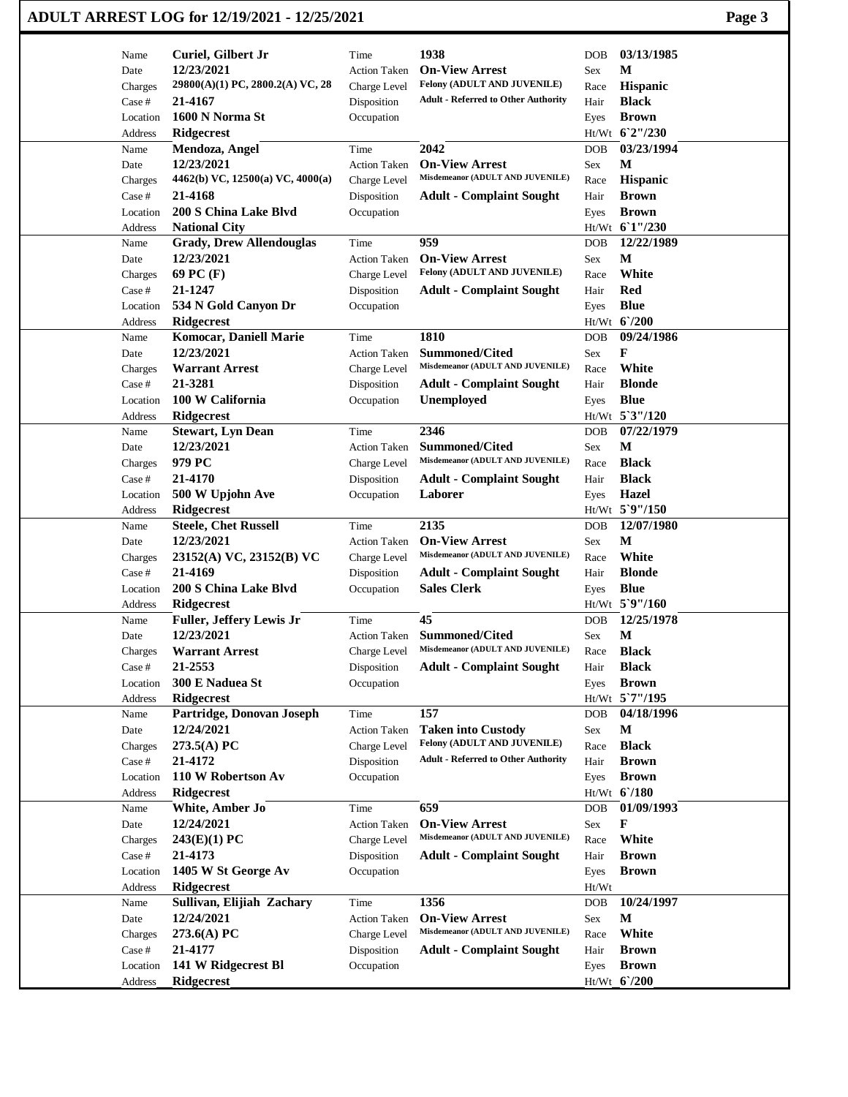| Name     | Curiel, Gilbert Jr               | Time                | 1938                                          | <b>DOB</b> | 03/13/1985     |
|----------|----------------------------------|---------------------|-----------------------------------------------|------------|----------------|
| Date     | 12/23/2021                       | <b>Action Taken</b> | <b>On-View Arrest</b>                         | Sex        | M              |
| Charges  | 29800(A)(1) PC, 2800.2(A) VC, 28 | Charge Level        | Felony (ADULT AND JUVENILE)                   | Race       | Hispanic       |
| Case #   | 21-4167                          | Disposition         | <b>Adult - Referred to Other Authority</b>    | Hair       | <b>Black</b>   |
| Location | 1600 N Norma St                  | Occupation          |                                               | Eyes       | <b>Brown</b>   |
| Address  | <b>Ridgecrest</b>                |                     |                                               |            | Ht/Wt 6'2"/230 |
| Name     | Mendoza, Angel                   | Time                | 2042                                          | <b>DOB</b> | 03/23/1994     |
| Date     | 12/23/2021                       | <b>Action Taken</b> | <b>On-View Arrest</b>                         | Sex        | М              |
| Charges  | 4462(b) VC, 12500(a) VC, 4000(a) | Charge Level        | Misdemeanor (ADULT AND JUVENILE)              | Race       | Hispanic       |
| Case #   | 21-4168                          | Disposition         | <b>Adult - Complaint Sought</b>               | Hair       | <b>Brown</b>   |
| Location | 200 S China Lake Blvd            | Occupation          |                                               | Eyes       | <b>Brown</b>   |
| Address  | <b>National City</b>             |                     |                                               |            | Ht/Wt 61"/230  |
| Name     | <b>Grady, Drew Allendouglas</b>  | Time                | 959                                           | <b>DOB</b> | 12/22/1989     |
| Date     | 12/23/2021                       | <b>Action Taken</b> | <b>On-View Arrest</b>                         | Sex        | $\mathbf{M}$   |
| Charges  | 69 PC (F)                        | Charge Level        | Felony (ADULT AND JUVENILE)                   | Race       | White          |
| Case #   | 21-1247                          | Disposition         | <b>Adult - Complaint Sought</b>               | Hair       | Red            |
|          | 534 N Gold Canyon Dr             |                     |                                               |            | <b>Blue</b>    |
| Location |                                  | Occupation          |                                               | Eyes       | Ht/Wt 6'/200   |
| Address  | <b>Ridgecrest</b>                |                     | 1810                                          |            | 09/24/1986     |
| Name     | <b>Komocar, Daniell Marie</b>    | Time                | <b>Summoned/Cited</b>                         | <b>DOB</b> | F              |
| Date     | 12/23/2021                       | <b>Action Taken</b> | Misdemeanor (ADULT AND JUVENILE)              | Sex        |                |
| Charges  | <b>Warrant Arrest</b>            | Charge Level        |                                               | Race       | White          |
| Case #   | 21-3281                          | Disposition         | <b>Adult - Complaint Sought</b>               | Hair       | <b>Blonde</b>  |
| Location | 100 W California                 | Occupation          | Unemployed                                    | Eyes       | <b>Blue</b>    |
| Address  | <b>Ridgecrest</b>                |                     |                                               |            | Ht/Wt 5'3"/120 |
| Name     | <b>Stewart, Lyn Dean</b>         | Time                | 2346                                          | <b>DOB</b> | 07/22/1979     |
| Date     | 12/23/2021                       | <b>Action Taken</b> | <b>Summoned/Cited</b>                         | Sex        | М              |
| Charges  | 979 PC                           | Charge Level        | Misdemeanor (ADULT AND JUVENILE)              | Race       | <b>Black</b>   |
| Case #   | 21-4170                          | Disposition         | <b>Adult - Complaint Sought</b>               | Hair       | <b>Black</b>   |
| Location | 500 W Upjohn Ave                 | Occupation          | Laborer                                       | Eyes       | Hazel          |
| Address  | Ridgecrest                       |                     |                                               |            | Ht/Wt 5`9"/150 |
| Name     | <b>Steele, Chet Russell</b>      | Time                | 2135                                          | <b>DOB</b> | 12/07/1980     |
| Date     | 12/23/2021                       | <b>Action Taken</b> | <b>On-View Arrest</b>                         | Sex        | $\mathbf{M}$   |
| Charges  | 23152(A) VC, 23152(B) VC         | Charge Level        | Misdemeanor (ADULT AND JUVENILE)              | Race       | White          |
| Case #   | 21-4169                          | Disposition         | <b>Adult - Complaint Sought</b>               | Hair       | <b>Blonde</b>  |
| Location | 200 S China Lake Blvd            | Occupation          | <b>Sales Clerk</b>                            | Eyes       | <b>Blue</b>    |
| Address  | <b>Ridgecrest</b>                |                     |                                               |            | Ht/Wt 5`9"/160 |
| Name     | Fuller, Jeffery Lewis Jr         | Time                | 45                                            | <b>DOB</b> | 12/25/1978     |
| Date     | 12/23/2021                       |                     | Action Taken Summoned/Cited                   | Sex        | M              |
| Charges  | <b>Warrant Arrest</b>            |                     | Charge Level Misdemeanor (ADULT AND JUVENILE) | Race       | <b>Black</b>   |
| Case #   | 21-2553                          | Disposition         | <b>Adult - Complaint Sought</b>               | Hair       | <b>Black</b>   |
| Location | 300 E Naduea St                  | Occupation          |                                               | Eyes       | <b>Brown</b>   |
| Address  | Ridgecrest                       |                     |                                               |            | Ht/Wt 5'7"/195 |
| Name     | Partridge, Donovan Joseph        | Time                | 157                                           | <b>DOB</b> | 04/18/1996     |
| Date     | 12/24/2021                       | <b>Action Taken</b> | <b>Taken into Custody</b>                     | Sex        | M              |
| Charges  | 273.5(A) PC                      | Charge Level        | Felony (ADULT AND JUVENILE)                   | Race       | <b>Black</b>   |
| Case #   | 21-4172                          | Disposition         | <b>Adult - Referred to Other Authority</b>    | Hair       | <b>Brown</b>   |
| Location | 110 W Robertson Av               | Occupation          |                                               | Eyes       | <b>Brown</b>   |
| Address  | <b>Ridgecrest</b>                |                     |                                               |            | $Ht/Wt$ 6/180  |
| Name     | White, Amber Jo                  | Time                | 659                                           | DOB        | 01/09/1993     |
| Date     | 12/24/2021                       | <b>Action Taken</b> | <b>On-View Arrest</b>                         | Sex        | F              |
| Charges  | 243(E)(1) PC                     | Charge Level        | Misdemeanor (ADULT AND JUVENILE)              | Race       | White          |
| Case #   | 21-4173                          | Disposition         | <b>Adult - Complaint Sought</b>               | Hair       | <b>Brown</b>   |
| Location | 1405 W St George Av              | Occupation          |                                               | Eyes       | <b>Brown</b>   |
| Address  | <b>Ridgecrest</b>                |                     |                                               | Ht/Wt      |                |
| Name     | Sullivan, Elijiah Zachary        | Time                | 1356                                          | <b>DOB</b> | 10/24/1997     |
| Date     | 12/24/2021                       | Action Taken        | <b>On-View Arrest</b>                         | Sex        | $\mathbf M$    |
|          | 273.6(A) PC                      |                     | Misdemeanor (ADULT AND JUVENILE)              |            | White          |
| Charges  |                                  | Charge Level        |                                               | Race       |                |
| Case #   | 21-4177                          | Disposition         | <b>Adult - Complaint Sought</b>               | Hair       | <b>Brown</b>   |
| Location | 141 W Ridgecrest Bl              | Occupation          |                                               | Eyes       | <b>Brown</b>   |
| Address  | <b>Ridgecrest</b>                |                     |                                               |            | Ht/Wt_6'/200   |

## **ADULT ARREST LOG for 12/19/2021 - 12/25/2021 Page 3**

 $\overline{\phantom{a}}$